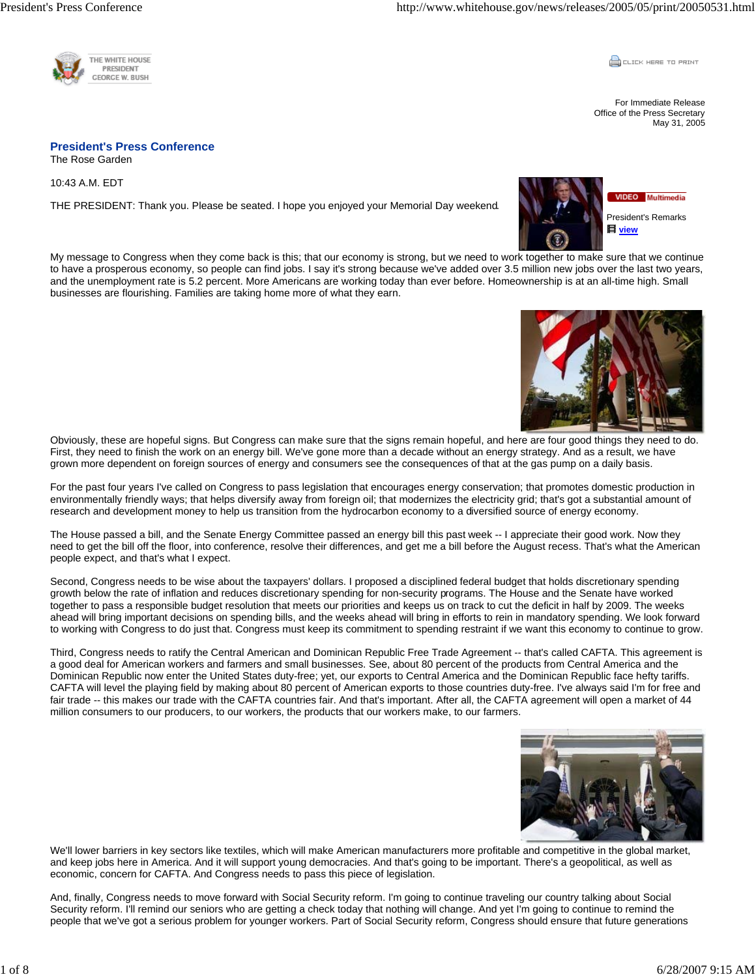

**CLICK HERE TO PRINT** 

For Immediate Release Office of the Press Secretary May 31, 2005

# **President's Press Conference**

The Rose Garden

10:43 A.M. EDT

THE PRESIDENT: Thank you. Please be seated. I hope you enjoyed your Memorial Day weekend.



President's Remarks

My message to Congress when they come back is this; that our economy is strong, but we need to work together to make sure that we continue to have a prosperous economy, so people can find jobs. I say it's strong because we've added over 3.5 million new jobs over the last two years, and the unemployment rate is 5.2 percent. More Americans are working today than ever before. Homeownership is at an all-time high. Small businesses are flourishing. Families are taking home more of what they earn.



Obviously, these are hopeful signs. But Congress can make sure that the signs remain hopeful, and here are four good things they need to do. First, they need to finish the work on an energy bill. We've gone more than a decade without an energy strategy. And as a result, we have grown more dependent on foreign sources of energy and consumers see the consequences of that at the gas pump on a daily basis.

For the past four years I've called on Congress to pass legislation that encourages energy conservation; that promotes domestic production in environmentally friendly ways; that helps diversify away from foreign oil; that modernizes the electricity grid; that's got a substantial amount of research and development money to help us transition from the hydrocarbon economy to a diversified source of energy economy.

The House passed a bill, and the Senate Energy Committee passed an energy bill this past week -- I appreciate their good work. Now they need to get the bill off the floor, into conference, resolve their differences, and get me a bill before the August recess. That's what the American people expect, and that's what I expect.

Second, Congress needs to be wise about the taxpayers' dollars. I proposed a disciplined federal budget that holds discretionary spending growth below the rate of inflation and reduces discretionary spending for non-security programs. The House and the Senate have worked together to pass a responsible budget resolution that meets our priorities and keeps us on track to cut the deficit in half by 2009. The weeks ahead will bring important decisions on spending bills, and the weeks ahead will bring in efforts to rein in mandatory spending. We look forward to working with Congress to do just that. Congress must keep its commitment to spending restraint if we want this economy to continue to grow.

Third, Congress needs to ratify the Central American and Dominican Republic Free Trade Agreement -- that's called CAFTA. This agreement is a good deal for American workers and farmers and small businesses. See, about 80 percent of the products from Central America and the Dominican Republic now enter the United States duty-free; yet, our exports to Central America and the Dominican Republic face hefty tariffs. CAFTA will level the playing field by making about 80 percent of American exports to those countries duty-free. I've always said I'm for free and fair trade -- this makes our trade with the CAFTA countries fair. And that's important. After all, the CAFTA agreement will open a market of 44 million consumers to our producers, to our workers, the products that our workers make, to our farmers.



We'll lower barriers in key sectors like textiles, which will make American manufacturers more profitable and competitive in the global market, and keep jobs here in America. And it will support young democracies. And that's going to be important. There's a geopolitical, as well as economic, concern for CAFTA. And Congress needs to pass this piece of legislation.

And, finally, Congress needs to move forward with Social Security reform. I'm going to continue traveling our country talking about Social Security reform. I'll remind our seniors who are getting a check today that nothing will change. And yet I'm going to continue to remind the people that we've got a serious problem for younger workers. Part of Social Security reform, Congress should ensure that future generations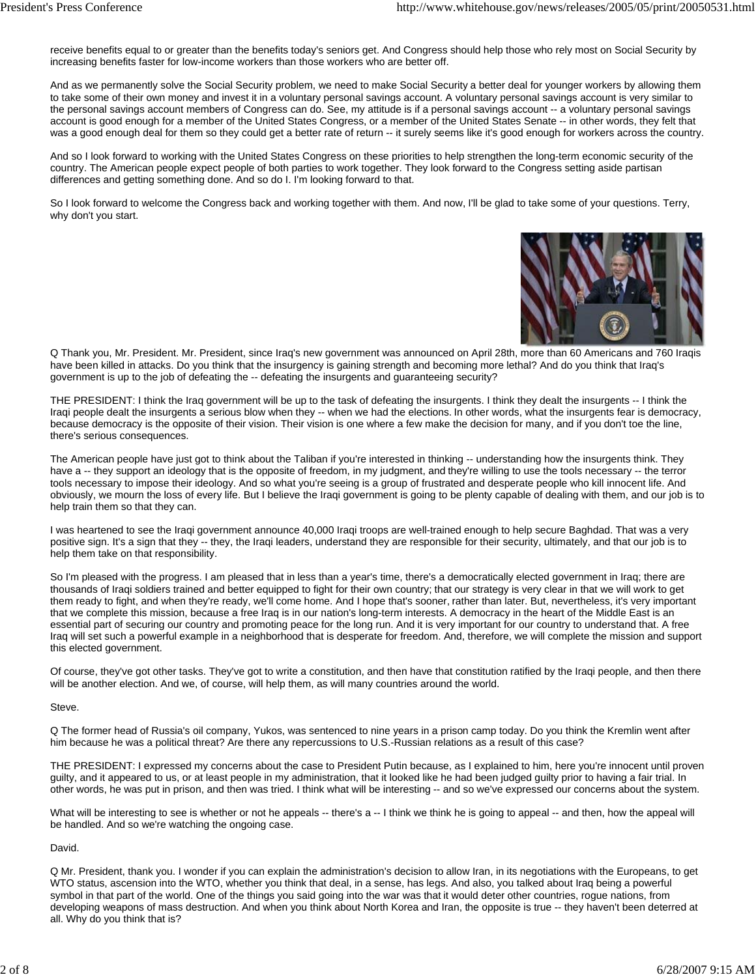receive benefits equal to or greater than the benefits today's seniors get. And Congress should help those who rely most on Social Security by increasing benefits faster for low-income workers than those workers who are better off.

And as we permanently solve the Social Security problem, we need to make Social Security a better deal for younger workers by allowing them to take some of their own money and invest it in a voluntary personal savings account. A voluntary personal savings account is very similar to the personal savings account members of Congress can do. See, my attitude is if a personal savings account -- a voluntary personal savings account is good enough for a member of the United States Congress, or a member of the United States Senate -- in other words, they felt that was a good enough deal for them so they could get a better rate of return -- it surely seems like it's good enough for workers across the country.

And so I look forward to working with the United States Congress on these priorities to help strengthen the long-term economic security of the country. The American people expect people of both parties to work together. They look forward to the Congress setting aside partisan differences and getting something done. And so do I. I'm looking forward to that.

So I look forward to welcome the Congress back and working together with them. And now, I'll be glad to take some of your questions. Terry, why don't you start.



Q Thank you, Mr. President. Mr. President, since Iraq's new government was announced on April 28th, more than 60 Americans and 760 Iraqis have been killed in attacks. Do you think that the insurgency is gaining strength and becoming more lethal? And do you think that Iraq's government is up to the job of defeating the -- defeating the insurgents and guaranteeing security?

THE PRESIDENT: I think the Iraq government will be up to the task of defeating the insurgents. I think they dealt the insurgents -- I think the Iraqi people dealt the insurgents a serious blow when they -- when we had the elections. In other words, what the insurgents fear is democracy, because democracy is the opposite of their vision. Their vision is one where a few make the decision for many, and if you don't toe the line, there's serious consequences.

The American people have just got to think about the Taliban if you're interested in thinking -- understanding how the insurgents think. They have a -- they support an ideology that is the opposite of freedom, in my judgment, and they're willing to use the tools necessary -- the terror tools necessary to impose their ideology. And so what you're seeing is a group of frustrated and desperate people who kill innocent life. And obviously, we mourn the loss of every life. But I believe the Iraqi government is going to be plenty capable of dealing with them, and our job is to help train them so that they can.

I was heartened to see the Iraqi government announce 40,000 Iraqi troops are well-trained enough to help secure Baghdad. That was a very positive sign. It's a sign that they -- they, the Iraqi leaders, understand they are responsible for their security, ultimately, and that our job is to help them take on that responsibility.

So I'm pleased with the progress. I am pleased that in less than a year's time, there's a democratically elected government in Iraq; there are thousands of Iraqi soldiers trained and better equipped to fight for their own country; that our strategy is very clear in that we will work to get them ready to fight, and when they're ready, we'll come home. And I hope that's sooner, rather than later. But, nevertheless, it's very important that we complete this mission, because a free Iraq is in our nation's long-term interests. A democracy in the heart of the Middle East is an essential part of securing our country and promoting peace for the long run. And it is very important for our country to understand that. A free Iraq will set such a powerful example in a neighborhood that is desperate for freedom. And, therefore, we will complete the mission and support this elected government.

Of course, they've got other tasks. They've got to write a constitution, and then have that constitution ratified by the Iraqi people, and then there will be another election. And we, of course, will help them, as will many countries around the world.

#### Steve.

Q The former head of Russia's oil company, Yukos, was sentenced to nine years in a prison camp today. Do you think the Kremlin went after him because he was a political threat? Are there any repercussions to U.S.-Russian relations as a result of this case?

THE PRESIDENT: I expressed my concerns about the case to President Putin because, as I explained to him, here you're innocent until proven guilty, and it appeared to us, or at least people in my administration, that it looked like he had been judged guilty prior to having a fair trial. In other words, he was put in prison, and then was tried. I think what will be interesting -- and so we've expressed our concerns about the system.

What will be interesting to see is whether or not he appeals -- there's a -- I think we think he is going to appeal -- and then, how the appeal will be handled. And so we're watching the ongoing case.

#### David.

Q Mr. President, thank you. I wonder if you can explain the administration's decision to allow Iran, in its negotiations with the Europeans, to get WTO status, ascension into the WTO, whether you think that deal, in a sense, has legs. And also, you talked about Iraq being a powerful symbol in that part of the world. One of the things you said going into the war was that it would deter other countries, rogue nations, from developing weapons of mass destruction. And when you think about North Korea and Iran, the opposite is true -- they haven't been deterred at all. Why do you think that is?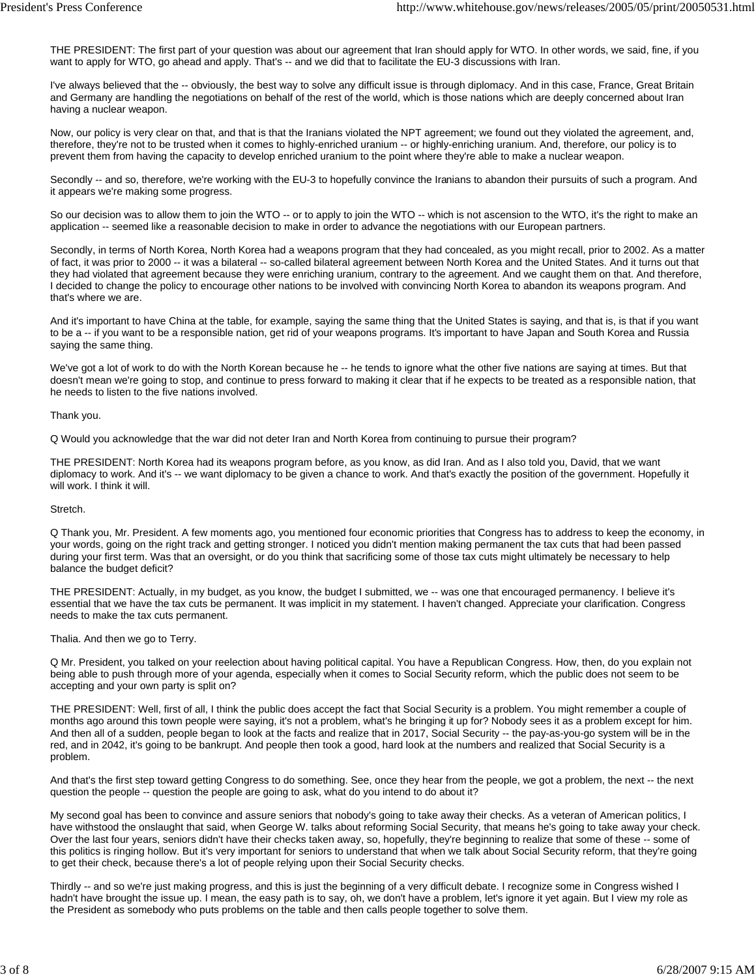THE PRESIDENT: The first part of your question was about our agreement that Iran should apply for WTO. In other words, we said, fine, if you want to apply for WTO, go ahead and apply. That's -- and we did that to facilitate the EU-3 discussions with Iran.

I've always believed that the -- obviously, the best way to solve any difficult issue is through diplomacy. And in this case, France, Great Britain and Germany are handling the negotiations on behalf of the rest of the world, which is those nations which are deeply concerned about Iran having a nuclear weapon.

Now, our policy is very clear on that, and that is that the Iranians violated the NPT agreement; we found out they violated the agreement, and, therefore, they're not to be trusted when it comes to highly-enriched uranium -- or highly-enriching uranium. And, therefore, our policy is to prevent them from having the capacity to develop enriched uranium to the point where they're able to make a nuclear weapon.

Secondly -- and so, therefore, we're working with the EU-3 to hopefully convince the Iranians to abandon their pursuits of such a program. And it appears we're making some progress.

So our decision was to allow them to join the WTO -- or to apply to join the WTO -- which is not ascension to the WTO, it's the right to make an application -- seemed like a reasonable decision to make in order to advance the negotiations with our European partners.

Secondly, in terms of North Korea, North Korea had a weapons program that they had concealed, as you might recall, prior to 2002. As a matter of fact, it was prior to 2000 -- it was a bilateral -- so-called bilateral agreement between North Korea and the United States. And it turns out that they had violated that agreement because they were enriching uranium, contrary to the agreement. And we caught them on that. And therefore, I decided to change the policy to encourage other nations to be involved with convincing North Korea to abandon its weapons program. And that's where we are.

And it's important to have China at the table, for example, saying the same thing that the United States is saying, and that is, is that if you want to be a -- if you want to be a responsible nation, get rid of your weapons programs. It's important to have Japan and South Korea and Russia saying the same thing.

We've got a lot of work to do with the North Korean because he -- he tends to ignore what the other five nations are saying at times. But that doesn't mean we're going to stop, and continue to press forward to making it clear that if he expects to be treated as a responsible nation, that he needs to listen to the five nations involved.

#### Thank you.

Q Would you acknowledge that the war did not deter Iran and North Korea from continuing to pursue their program?

THE PRESIDENT: North Korea had its weapons program before, as you know, as did Iran. And as I also told you, David, that we want diplomacy to work. And it's -- we want diplomacy to be given a chance to work. And that's exactly the position of the government. Hopefully it will work. I think it will.

#### **Stretch**

Q Thank you, Mr. President. A few moments ago, you mentioned four economic priorities that Congress has to address to keep the economy, in your words, going on the right track and getting stronger. I noticed you didn't mention making permanent the tax cuts that had been passed during your first term. Was that an oversight, or do you think that sacrificing some of those tax cuts might ultimately be necessary to help balance the budget deficit?

THE PRESIDENT: Actually, in my budget, as you know, the budget I submitted, we -- was one that encouraged permanency. I believe it's essential that we have the tax cuts be permanent. It was implicit in my statement. I haven't changed. Appreciate your clarification. Congress needs to make the tax cuts permanent.

Thalia. And then we go to Terry.

Q Mr. President, you talked on your reelection about having political capital. You have a Republican Congress. How, then, do you explain not being able to push through more of your agenda, especially when it comes to Social Security reform, which the public does not seem to be accepting and your own party is split on?

THE PRESIDENT: Well, first of all, I think the public does accept the fact that Social Security is a problem. You might remember a couple of months ago around this town people were saying, it's not a problem, what's he bringing it up for? Nobody sees it as a problem except for him. And then all of a sudden, people began to look at the facts and realize that in 2017, Social Security -- the pay-as-you-go system will be in the red, and in 2042, it's going to be bankrupt. And people then took a good, hard look at the numbers and realized that Social Security is a problem.

And that's the first step toward getting Congress to do something. See, once they hear from the people, we got a problem, the next -- the next question the people -- question the people are going to ask, what do you intend to do about it?

My second goal has been to convince and assure seniors that nobody's going to take away their checks. As a veteran of American politics, I have withstood the onslaught that said, when George W. talks about reforming Social Security, that means he's going to take away your check. Over the last four years, seniors didn't have their checks taken away, so, hopefully, they're beginning to realize that some of these -- some of this politics is ringing hollow. But it's very important for seniors to understand that when we talk about Social Security reform, that they're going to get their check, because there's a lot of people relying upon their Social Security checks.

Thirdly -- and so we're just making progress, and this is just the beginning of a very difficult debate. I recognize some in Congress wished I hadn't have brought the issue up. I mean, the easy path is to say, oh, we don't have a problem, let's ignore it yet again. But I view my role as the President as somebody who puts problems on the table and then calls people together to solve them.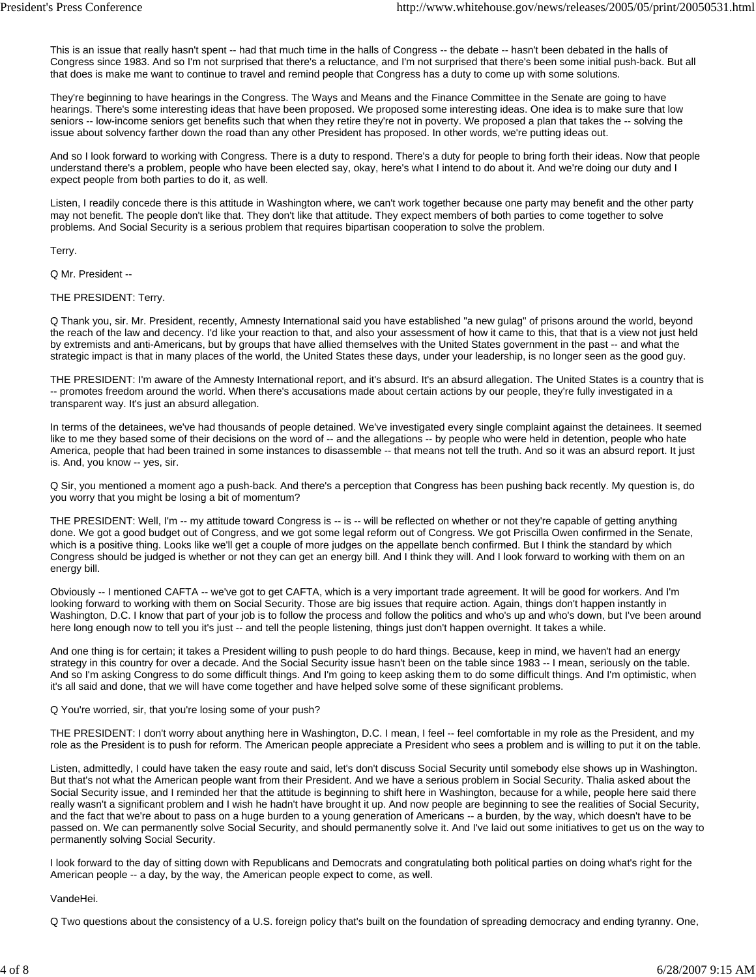This is an issue that really hasn't spent -- had that much time in the halls of Congress -- the debate -- hasn't been debated in the halls of Congress since 1983. And so I'm not surprised that there's a reluctance, and I'm not surprised that there's been some initial push-back. But all that does is make me want to continue to travel and remind people that Congress has a duty to come up with some solutions.

They're beginning to have hearings in the Congress. The Ways and Means and the Finance Committee in the Senate are going to have hearings. There's some interesting ideas that have been proposed. We proposed some interesting ideas. One idea is to make sure that low seniors -- low-income seniors get benefits such that when they retire they're not in poverty. We proposed a plan that takes the -- solving the issue about solvency farther down the road than any other President has proposed. In other words, we're putting ideas out.

And so I look forward to working with Congress. There is a duty to respond. There's a duty for people to bring forth their ideas. Now that people understand there's a problem, people who have been elected say, okay, here's what I intend to do about it. And we're doing our duty and I expect people from both parties to do it, as well.

Listen, I readily concede there is this attitude in Washington where, we can't work together because one party may benefit and the other party may not benefit. The people don't like that. They don't like that attitude. They expect members of both parties to come together to solve problems. And Social Security is a serious problem that requires bipartisan cooperation to solve the problem.

Terry.

Q Mr. President --

THE PRESIDENT: Terry.

Q Thank you, sir. Mr. President, recently, Amnesty International said you have established "a new gulag" of prisons around the world, beyond the reach of the law and decency. I'd like your reaction to that, and also your assessment of how it came to this, that that is a view not just held by extremists and anti-Americans, but by groups that have allied themselves with the United States government in the past -- and what the strategic impact is that in many places of the world, the United States these days, under your leadership, is no longer seen as the good guy.

THE PRESIDENT: I'm aware of the Amnesty International report, and it's absurd. It's an absurd allegation. The United States is a country that is -- promotes freedom around the world. When there's accusations made about certain actions by our people, they're fully investigated in a transparent way. It's just an absurd allegation.

In terms of the detainees, we've had thousands of people detained. We've investigated every single complaint against the detainees. It seemed like to me they based some of their decisions on the word of -- and the allegations -- by people who were held in detention, people who hate America, people that had been trained in some instances to disassemble -- that means not tell the truth. And so it was an absurd report. It just is. And, you know -- yes, sir.

Q Sir, you mentioned a moment ago a push-back. And there's a perception that Congress has been pushing back recently. My question is, do you worry that you might be losing a bit of momentum?

THE PRESIDENT: Well, I'm -- my attitude toward Congress is -- is -- will be reflected on whether or not they're capable of getting anything done. We got a good budget out of Congress, and we got some legal reform out of Congress. We got Priscilla Owen confirmed in the Senate, which is a positive thing. Looks like we'll get a couple of more judges on the appellate bench confirmed. But I think the standard by which Congress should be judged is whether or not they can get an energy bill. And I think they will. And I look forward to working with them on an energy bill.

Obviously -- I mentioned CAFTA -- we've got to get CAFTA, which is a very important trade agreement. It will be good for workers. And I'm looking forward to working with them on Social Security. Those are big issues that require action. Again, things don't happen instantly in Washington, D.C. I know that part of your job is to follow the process and follow the politics and who's up and who's down, but I've been around here long enough now to tell you it's just -- and tell the people listening, things just don't happen overnight. It takes a while.

And one thing is for certain; it takes a President willing to push people to do hard things. Because, keep in mind, we haven't had an energy strategy in this country for over a decade. And the Social Security issue hasn't been on the table since 1983 -- I mean, seriously on the table. And so I'm asking Congress to do some difficult things. And I'm going to keep asking them to do some difficult things. And I'm optimistic, when it's all said and done, that we will have come together and have helped solve some of these significant problems.

Q You're worried, sir, that you're losing some of your push?

THE PRESIDENT: I don't worry about anything here in Washington, D.C. I mean, I feel -- feel comfortable in my role as the President, and my role as the President is to push for reform. The American people appreciate a President who sees a problem and is willing to put it on the table.

Listen, admittedly, I could have taken the easy route and said, let's don't discuss Social Security until somebody else shows up in Washington. But that's not what the American people want from their President. And we have a serious problem in Social Security. Thalia asked about the Social Security issue, and I reminded her that the attitude is beginning to shift here in Washington, because for a while, people here said there really wasn't a significant problem and I wish he hadn't have brought it up. And now people are beginning to see the realities of Social Security, and the fact that we're about to pass on a huge burden to a young generation of Americans -- a burden, by the way, which doesn't have to be passed on. We can permanently solve Social Security, and should permanently solve it. And I've laid out some initiatives to get us on the way to permanently solving Social Security.

I look forward to the day of sitting down with Republicans and Democrats and congratulating both political parties on doing what's right for the American people -- a day, by the way, the American people expect to come, as well.

VandeHei.

Q Two questions about the consistency of a U.S. foreign policy that's built on the foundation of spreading democracy and ending tyranny. One,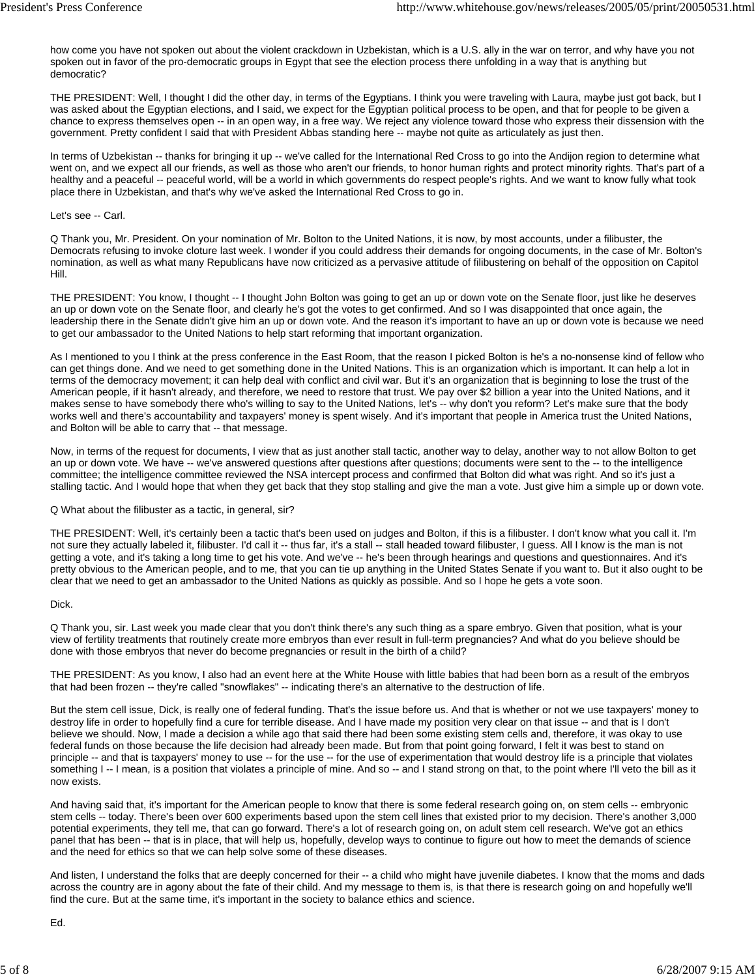how come you have not spoken out about the violent crackdown in Uzbekistan, which is a U.S. ally in the war on terror, and why have you not spoken out in favor of the pro-democratic groups in Egypt that see the election process there unfolding in a way that is anything but democratic?

THE PRESIDENT: Well, I thought I did the other day, in terms of the Egyptians. I think you were traveling with Laura, maybe just got back, but I was asked about the Egyptian elections, and I said, we expect for the Egyptian political process to be open, and that for people to be given a chance to express themselves open -- in an open way, in a free way. We reject any violence toward those who express their dissension with the government. Pretty confident I said that with President Abbas standing here -- maybe not quite as articulately as just then.

In terms of Uzbekistan -- thanks for bringing it up -- we've called for the International Red Cross to go into the Andijon region to determine what went on, and we expect all our friends, as well as those who aren't our friends, to honor human rights and protect minority rights. That's part of a healthy and a peaceful -- peaceful world, will be a world in which governments do respect people's rights. And we want to know fully what took place there in Uzbekistan, and that's why we've asked the International Red Cross to go in.

#### Let's see -- Carl.

Q Thank you, Mr. President. On your nomination of Mr. Bolton to the United Nations, it is now, by most accounts, under a filibuster, the Democrats refusing to invoke cloture last week. I wonder if you could address their demands for ongoing documents, in the case of Mr. Bolton's nomination, as well as what many Republicans have now criticized as a pervasive attitude of filibustering on behalf of the opposition on Capitol Hill.

THE PRESIDENT: You know, I thought -- I thought John Bolton was going to get an up or down vote on the Senate floor, just like he deserves an up or down vote on the Senate floor, and clearly he's got the votes to get confirmed. And so I was disappointed that once again, the leadership there in the Senate didn't give him an up or down vote. And the reason it's important to have an up or down vote is because we need to get our ambassador to the United Nations to help start reforming that important organization.

As I mentioned to you I think at the press conference in the East Room, that the reason I picked Bolton is he's a no-nonsense kind of fellow who can get things done. And we need to get something done in the United Nations. This is an organization which is important. It can help a lot in terms of the democracy movement; it can help deal with conflict and civil war. But it's an organization that is beginning to lose the trust of the American people, if it hasn't already, and therefore, we need to restore that trust. We pay over \$2 billion a year into the United Nations, and it makes sense to have somebody there who's willing to say to the United Nations, let's -- why don't you reform? Let's make sure that the body works well and there's accountability and taxpayers' money is spent wisely. And it's important that people in America trust the United Nations, and Bolton will be able to carry that -- that message.

Now, in terms of the request for documents, I view that as just another stall tactic, another way to delay, another way to not allow Bolton to get an up or down vote. We have -- we've answered questions after questions after questions; documents were sent to the -- to the intelligence committee; the intelligence committee reviewed the NSA intercept process and confirmed that Bolton did what was right. And so it's just a stalling tactic. And I would hope that when they get back that they stop stalling and give the man a vote. Just give him a simple up or down vote.

#### Q What about the filibuster as a tactic, in general, sir?

THE PRESIDENT: Well, it's certainly been a tactic that's been used on judges and Bolton, if this is a filibuster. I don't know what you call it. I'm not sure they actually labeled it, filibuster. I'd call it -- thus far, it's a stall -- stall headed toward filibuster, I guess. All I know is the man is not getting a vote, and it's taking a long time to get his vote. And we've -- he's been through hearings and questions and questionnaires. And it's pretty obvious to the American people, and to me, that you can tie up anything in the United States Senate if you want to. But it also ought to be clear that we need to get an ambassador to the United Nations as quickly as possible. And so I hope he gets a vote soon.

#### Dick.

Q Thank you, sir. Last week you made clear that you don't think there's any such thing as a spare embryo. Given that position, what is your view of fertility treatments that routinely create more embryos than ever result in full-term pregnancies? And what do you believe should be done with those embryos that never do become pregnancies or result in the birth of a child?

THE PRESIDENT: As you know, I also had an event here at the White House with little babies that had been born as a result of the embryos that had been frozen -- they're called "snowflakes" -- indicating there's an alternative to the destruction of life.

But the stem cell issue, Dick, is really one of federal funding. That's the issue before us. And that is whether or not we use taxpayers' money to destroy life in order to hopefully find a cure for terrible disease. And I have made my position very clear on that issue -- and that is I don't believe we should. Now, I made a decision a while ago that said there had been some existing stem cells and, therefore, it was okay to use federal funds on those because the life decision had already been made. But from that point going forward, I felt it was best to stand on principle -- and that is taxpayers' money to use -- for the use -- for the use of experimentation that would destroy life is a principle that violates something I--I mean, is a position that violates a principle of mine. And so -- and I stand strong on that, to the point where I'll veto the bill as it now exists.

And having said that, it's important for the American people to know that there is some federal research going on, on stem cells -- embryonic stem cells -- today. There's been over 600 experiments based upon the stem cell lines that existed prior to my decision. There's another 3,000 potential experiments, they tell me, that can go forward. There's a lot of research going on, on adult stem cell research. We've got an ethics panel that has been -- that is in place, that will help us, hopefully, develop ways to continue to figure out how to meet the demands of science and the need for ethics so that we can help solve some of these diseases.

And listen, I understand the folks that are deeply concerned for their -- a child who might have juvenile diabetes. I know that the moms and dads across the country are in agony about the fate of their child. And my message to them is, is that there is research going on and hopefully we'll find the cure. But at the same time, it's important in the society to balance ethics and science.

Ed.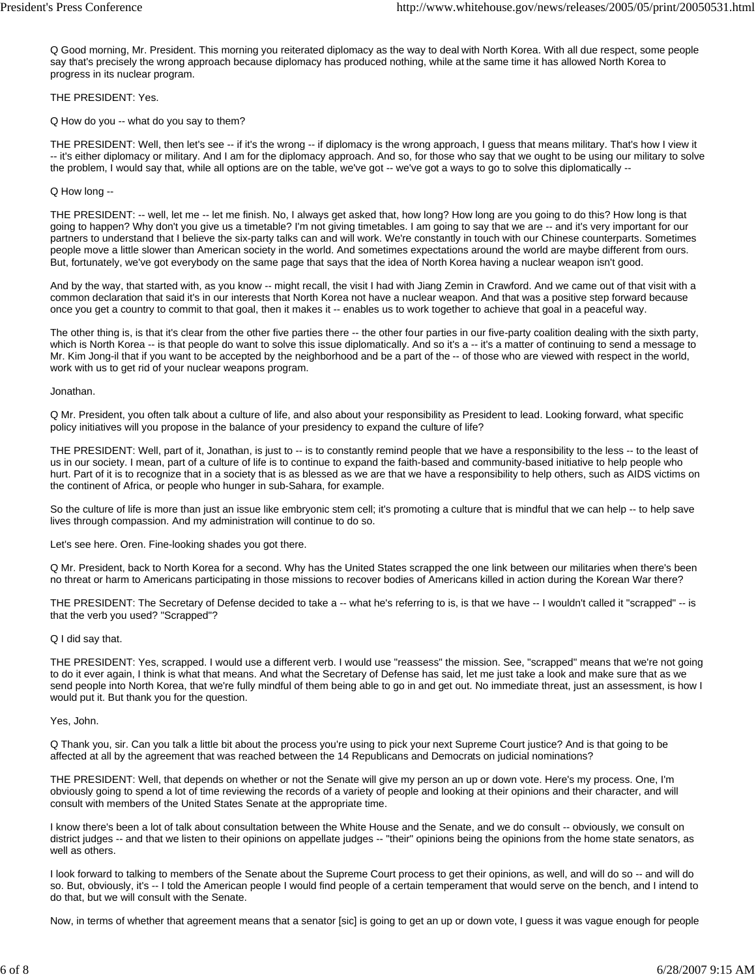Q Good morning, Mr. President. This morning you reiterated diplomacy as the way to deal with North Korea. With all due respect, some people say that's precisely the wrong approach because diplomacy has produced nothing, while at the same time it has allowed North Korea to progress in its nuclear program.

### THE PRESIDENT: Yes.

Q How do you -- what do you say to them?

THE PRESIDENT: Well, then let's see -- if it's the wrong -- if diplomacy is the wrong approach, I guess that means military. That's how I view it -- it's either diplomacy or military. And I am for the diplomacy approach. And so, for those who say that we ought to be using our military to solve the problem, I would say that, while all options are on the table, we've got -- we've got a ways to go to solve this diplomatically --

## Q How long --

THE PRESIDENT: -- well, let me -- let me finish. No, I always get asked that, how long? How long are you going to do this? How long is that going to happen? Why don't you give us a timetable? I'm not giving timetables. I am going to say that we are -- and it's very important for our partners to understand that I believe the six-party talks can and will work. We're constantly in touch with our Chinese counterparts. Sometimes people move a little slower than American society in the world. And sometimes expectations around the world are maybe different from ours. But, fortunately, we've got everybody on the same page that says that the idea of North Korea having a nuclear weapon isn't good.

And by the way, that started with, as you know -- might recall, the visit I had with Jiang Zemin in Crawford. And we came out of that visit with a common declaration that said it's in our interests that North Korea not have a nuclear weapon. And that was a positive step forward because once you get a country to commit to that goal, then it makes it -- enables us to work together to achieve that goal in a peaceful way.

The other thing is, is that it's clear from the other five parties there -- the other four parties in our five-party coalition dealing with the sixth party, which is North Korea -- is that people do want to solve this issue diplomatically. And so it's a -- it's a matter of continuing to send a message to Mr. Kim Jong-il that if you want to be accepted by the neighborhood and be a part of the -- of those who are viewed with respect in the world, work with us to get rid of your nuclear weapons program.

#### Jonathan.

Q Mr. President, you often talk about a culture of life, and also about your responsibility as President to lead. Looking forward, what specific policy initiatives will you propose in the balance of your presidency to expand the culture of life?

THE PRESIDENT: Well, part of it, Jonathan, is just to -- is to constantly remind people that we have a responsibility to the less -- to the least of us in our society. I mean, part of a culture of life is to continue to expand the faith-based and community-based initiative to help people who hurt. Part of it is to recognize that in a society that is as blessed as we are that we have a responsibility to help others, such as AIDS victims on the continent of Africa, or people who hunger in sub-Sahara, for example.

So the culture of life is more than just an issue like embryonic stem cell; it's promoting a culture that is mindful that we can help -- to help save lives through compassion. And my administration will continue to do so.

Let's see here. Oren. Fine-looking shades you got there.

Q Mr. President, back to North Korea for a second. Why has the United States scrapped the one link between our militaries when there's been no threat or harm to Americans participating in those missions to recover bodies of Americans killed in action during the Korean War there?

THE PRESIDENT: The Secretary of Defense decided to take a -- what he's referring to is, is that we have -- I wouldn't called it "scrapped" -- is that the verb you used? "Scrapped"?

#### Q I did say that.

THE PRESIDENT: Yes, scrapped. I would use a different verb. I would use "reassess" the mission. See, "scrapped" means that we're not going to do it ever again, I think is what that means. And what the Secretary of Defense has said, let me just take a look and make sure that as we send people into North Korea, that we're fully mindful of them being able to go in and get out. No immediate threat, just an assessment, is how I would put it. But thank you for the question.

#### Yes, John.

Q Thank you, sir. Can you talk a little bit about the process you're using to pick your next Supreme Court justice? And is that going to be affected at all by the agreement that was reached between the 14 Republicans and Democrats on judicial nominations?

THE PRESIDENT: Well, that depends on whether or not the Senate will give my person an up or down vote. Here's my process. One, I'm obviously going to spend a lot of time reviewing the records of a variety of people and looking at their opinions and their character, and will consult with members of the United States Senate at the appropriate time.

I know there's been a lot of talk about consultation between the White House and the Senate, and we do consult -- obviously, we consult on district judges -- and that we listen to their opinions on appellate judges -- "their" opinions being the opinions from the home state senators, as well as others.

I look forward to talking to members of the Senate about the Supreme Court process to get their opinions, as well, and will do so -- and will do so. But, obviously, it's -- I told the American people I would find people of a certain temperament that would serve on the bench, and I intend to do that, but we will consult with the Senate.

Now, in terms of whether that agreement means that a senator [sic] is going to get an up or down vote, I guess it was vague enough for people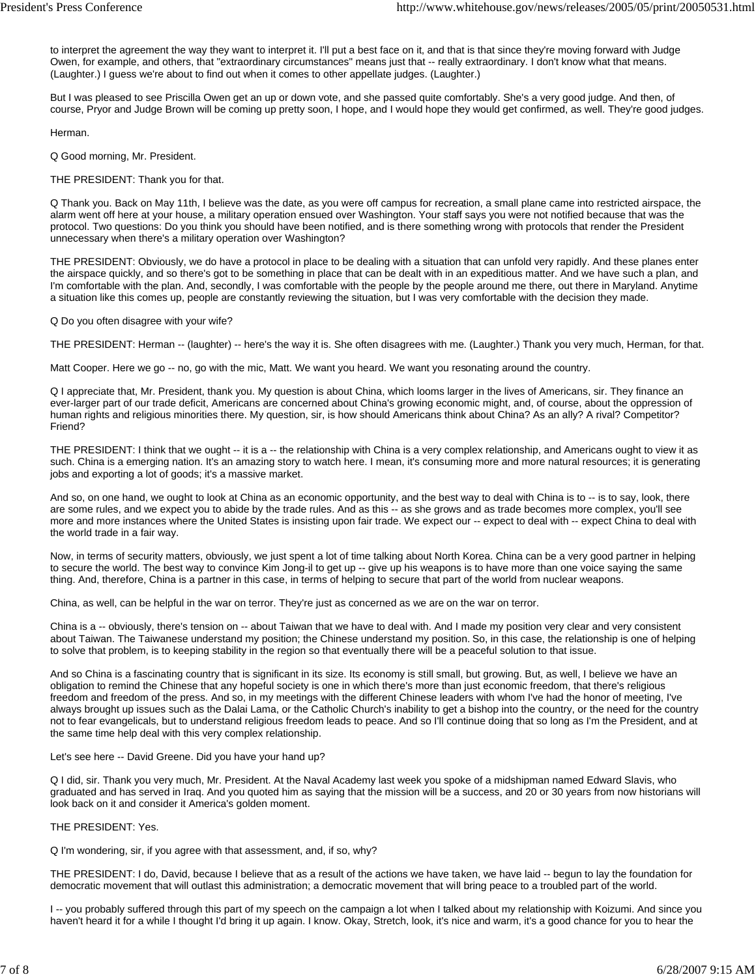to interpret the agreement the way they want to interpret it. I'll put a best face on it, and that is that since they're moving forward with Judge Owen, for example, and others, that "extraordinary circumstances" means just that -- really extraordinary. I don't know what that means. (Laughter.) I guess we're about to find out when it comes to other appellate judges. (Laughter.)

But I was pleased to see Priscilla Owen get an up or down vote, and she passed quite comfortably. She's a very good judge. And then, of course, Pryor and Judge Brown will be coming up pretty soon, I hope, and I would hope they would get confirmed, as well. They're good judges.

Herman.

Q Good morning, Mr. President.

THE PRESIDENT: Thank you for that.

Q Thank you. Back on May 11th, I believe was the date, as you were off campus for recreation, a small plane came into restricted airspace, the alarm went off here at your house, a military operation ensued over Washington. Your staff says you were not notified because that was the protocol. Two questions: Do you think you should have been notified, and is there something wrong with protocols that render the President unnecessary when there's a military operation over Washington?

THE PRESIDENT: Obviously, we do have a protocol in place to be dealing with a situation that can unfold very rapidly. And these planes enter the airspace quickly, and so there's got to be something in place that can be dealt with in an expeditious matter. And we have such a plan, and I'm comfortable with the plan. And, secondly, I was comfortable with the people by the people around me there, out there in Maryland. Anytime a situation like this comes up, people are constantly reviewing the situation, but I was very comfortable with the decision they made.

Q Do you often disagree with your wife?

THE PRESIDENT: Herman -- (laughter) -- here's the way it is. She often disagrees with me. (Laughter.) Thank you very much, Herman, for that.

Matt Cooper. Here we go -- no, go with the mic, Matt. We want you heard. We want you resonating around the country.

Q I appreciate that, Mr. President, thank you. My question is about China, which looms larger in the lives of Americans, sir. They finance an ever-larger part of our trade deficit, Americans are concerned about China's growing economic might, and, of course, about the oppression of human rights and religious minorities there. My question, sir, is how should Americans think about China? As an ally? A rival? Competitor? Friend?

THE PRESIDENT: I think that we ought -- it is a -- the relationship with China is a very complex relationship, and Americans ought to view it as such. China is a emerging nation. It's an amazing story to watch here. I mean, it's consuming more and more natural resources; it is generating jobs and exporting a lot of goods; it's a massive market.

And so, on one hand, we ought to look at China as an economic opportunity, and the best way to deal with China is to -- is to say, look, there are some rules, and we expect you to abide by the trade rules. And as this -- as she grows and as trade becomes more complex, you'll see more and more instances where the United States is insisting upon fair trade. We expect our -- expect to deal with -- expect China to deal with the world trade in a fair way.

Now, in terms of security matters, obviously, we just spent a lot of time talking about North Korea. China can be a very good partner in helping to secure the world. The best way to convince Kim Jong-il to get up -- give up his weapons is to have more than one voice saying the same thing. And, therefore, China is a partner in this case, in terms of helping to secure that part of the world from nuclear weapons.

China, as well, can be helpful in the war on terror. They're just as concerned as we are on the war on terror.

China is a -- obviously, there's tension on -- about Taiwan that we have to deal with. And I made my position very clear and very consistent about Taiwan. The Taiwanese understand my position; the Chinese understand my position. So, in this case, the relationship is one of helping to solve that problem, is to keeping stability in the region so that eventually there will be a peaceful solution to that issue.

And so China is a fascinating country that is significant in its size. Its economy is still small, but growing. But, as well, I believe we have an obligation to remind the Chinese that any hopeful society is one in which there's more than just economic freedom, that there's religious freedom and freedom of the press. And so, in my meetings with the different Chinese leaders with whom I've had the honor of meeting, I've always brought up issues such as the Dalai Lama, or the Catholic Church's inability to get a bishop into the country, or the need for the country not to fear evangelicals, but to understand religious freedom leads to peace. And so I'll continue doing that so long as I'm the President, and at the same time help deal with this very complex relationship.

Let's see here -- David Greene. Did you have your hand up?

Q I did, sir. Thank you very much, Mr. President. At the Naval Academy last week you spoke of a midshipman named Edward Slavis, who graduated and has served in Iraq. And you quoted him as saying that the mission will be a success, and 20 or 30 years from now historians will look back on it and consider it America's golden moment.

THE PRESIDENT: Yes.

Q I'm wondering, sir, if you agree with that assessment, and, if so, why?

THE PRESIDENT: I do, David, because I believe that as a result of the actions we have taken, we have laid -- begun to lay the foundation for democratic movement that will outlast this administration; a democratic movement that will bring peace to a troubled part of the world.

I -- you probably suffered through this part of my speech on the campaign a lot when I talked about my relationship with Koizumi. And since you haven't heard it for a while I thought I'd bring it up again. I know. Okay, Stretch, look, it's nice and warm, it's a good chance for you to hear the